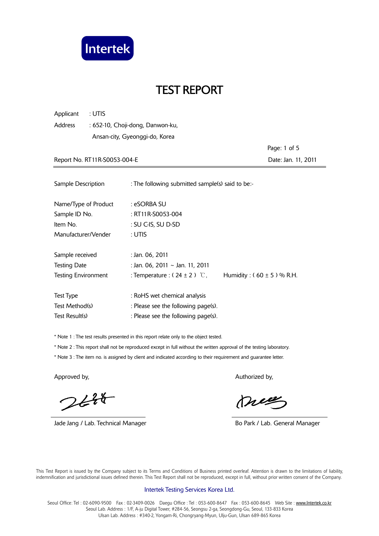

Applicant : UTIS Address : 652-10, Choji-dong, Danwon-ku, Ansan-city, Gyeonggi-do, Korea

 Page: 1 of 5 Report No. RT11R-S0053-004-E Date: Jan. 11, 2011

| Sample Description         | : The following submitted sample(s) said to be:- |                               |
|----------------------------|--------------------------------------------------|-------------------------------|
| Name/Type of Product       | : eSORBA SU                                      |                               |
| Sample ID No.              | : RT11R-S0053-004                                |                               |
| Item No.                   | : SU C-IS, SU D-SD                               |                               |
| Manufacturer/Vender        | : UTIS                                           |                               |
| Sample received            | : Jan. 06, 2011                                  |                               |
| <b>Testing Date</b>        | : Jan. 06, 2011 ~ Jan. 11, 2011                  |                               |
| <b>Testing Environment</b> | : Temperature : $(24 \pm 2)$ °C,                 | Humidity: $(60 \pm 5)$ % R.H. |
| Test Type                  | : RoHS wet chemical analysis                     |                               |
| Test Method(s)             | : Please see the following page(s).              |                               |
| Test Result(s)             | : Please see the following page(s).              |                               |

\* Note 1 : The test results presented in this report relate only to the object tested.

\* Note 2 : This report shall not be reproduced except in full without the written approval of the testing laboratory.

\* Note 3 : The item no. is assigned by client and indicated according to their requirement and guarantee letter.

 $244$ 

Jade Jang / Lab. Technical Manager **Bo Park / Lab. General Manager** Bo Park / Lab. General Manager

Approved by, Authorized by, Authorized by, Authorized by,

meg

 This Test Report is issued by the Company subject to its Terms and Conditions of Business printed overleaf. Attention is drawn to the limitations of liability, indemnification and jurisdictional issues defined therein. This Test Report shall not be reproduced, except in full, without prior written consent of the Company.

#### Intertek Testing Services Korea Ltd.

Seoul Office: Tel: 02-6090-9500 Fax: 02-3409-0026 Daegu Office: Tel: 053-600-8647 Fax: 053-600-8645 Web Site: www.Intertek.co.kr Seoul Lab. Address : 1/F, A-ju Digital Tower, #284-56, Seongsu 2-ga, Seongdong-Gu, Seoul, 133-833 Korea Ulsan Lab. Address : #340-2, Yongam-Ri, Chongryang-Myun, Ulju-Gun, Ulsan 689-865 Korea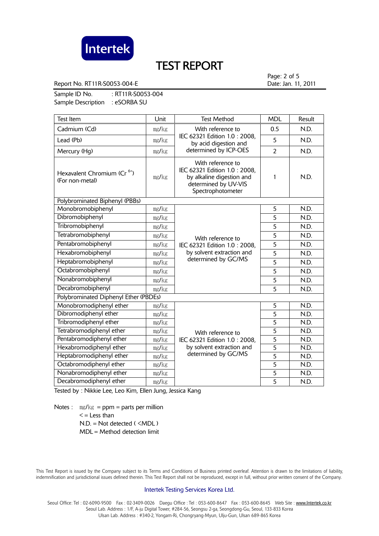

Report No. RT11R-S0053-004-E Date: Jan. 11, 2011

Page: 2 of 5

Sample ID No. : RT11R-S0053-004 Sample Description : eSORBA SU

| <b>Test Item</b>                                           | Unit  | <b>Test Method</b>                                                                                                                                                                                                          | <b>MDL</b>     | Result |
|------------------------------------------------------------|-------|-----------------------------------------------------------------------------------------------------------------------------------------------------------------------------------------------------------------------------|----------------|--------|
| Cadmium (Cd)                                               | mg/kg | With reference to<br>IEC 62321 Edition 1.0: 2008,<br>by acid digestion and<br>determined by ICP-OES                                                                                                                         | 0.5            | N.D.   |
| Lead (Pb)                                                  | mg/kg |                                                                                                                                                                                                                             | 5              | N.D.   |
| Mercury (Hg)                                               | mg/kg |                                                                                                                                                                                                                             | $\overline{2}$ | N.D.   |
| Hexavalent Chromium (Cr <sup>6+</sup> )<br>(For non-metal) | mg/kg | With reference to<br>IEC 62321 Edition 1.0: 2008,<br>by alkaline digestion and<br>determined by UV-VIS<br>Spectrophotometer                                                                                                 | 1              | N.D.   |
| Polybrominated Biphenyl (PBBs)                             |       |                                                                                                                                                                                                                             |                |        |
| Monobromobiphenyl                                          | mg/kg | With reference to<br>IEC 62321 Edition 1.0: 2008,<br>by solvent extraction and<br>determined by GC/MS                                                                                                                       | 5              | N.D.   |
| Dibromobiphenyl                                            | mg/kg |                                                                                                                                                                                                                             | 5              | N.D.   |
| Tribromobiphenyl                                           | mg/kg |                                                                                                                                                                                                                             | 5              | N.D.   |
| Tetrabromobiphenyl                                         | mg/kg |                                                                                                                                                                                                                             | 5              | N.D.   |
| Pentabromobiphenyl                                         | mg/kg |                                                                                                                                                                                                                             | 5              | N.D.   |
| Hexabromobiphenyl                                          | mg/kg |                                                                                                                                                                                                                             | 5              | N.D.   |
| Heptabromobiphenyl                                         | mg/kg |                                                                                                                                                                                                                             | $\overline{5}$ | N.D.   |
| Octabromobiphenyl                                          | mg/kg |                                                                                                                                                                                                                             | 5              | N.D.   |
| Nonabromobiphenyl                                          | mg/kg |                                                                                                                                                                                                                             | 5              | N.D.   |
| Decabromobiphenyl                                          | mg/kg |                                                                                                                                                                                                                             | 5              | N.D.   |
| Polybrominated Diphenyl Ether (PBDEs)                      |       |                                                                                                                                                                                                                             |                |        |
| Monobromodiphenyl ether                                    | mg/kg |                                                                                                                                                                                                                             | 5              | N.D.   |
| Dibromodiphenyl ether                                      | mg/kg |                                                                                                                                                                                                                             | $\overline{5}$ | N.D.   |
| Tribromodiphenyl ether                                     | mg/kg | 5<br>$\overline{5}$<br>With reference to<br>$\overline{5}$<br>IEC 62321 Edition 1.0: 2008,<br>by solvent extraction and<br>$\overline{5}$<br>determined by GC/MS<br>$\overline{5}$<br>$\overline{5}$<br>5<br>$\overline{5}$ |                | N.D.   |
| Tetrabromodiphenyl ether                                   | mg/kg |                                                                                                                                                                                                                             |                | N.D.   |
| Pentabromodiphenyl ether                                   | mg/kg |                                                                                                                                                                                                                             |                | N.D.   |
| Hexabromodiphenyl ether                                    | mg/kg |                                                                                                                                                                                                                             |                | N.D.   |
| Heptabromodiphenyl ether                                   | mg/kg |                                                                                                                                                                                                                             |                | N.D.   |
| Octabromodiphenyl ether                                    | mg/kg |                                                                                                                                                                                                                             |                | N.D.   |
| Nonabromodiphenyl ether                                    | mg/kg |                                                                                                                                                                                                                             | N.D.           |        |
| Decabromodiphenyl ether                                    | mg/kg |                                                                                                                                                                                                                             | N.D.           |        |

Tested by : Nikkie Lee, Leo Kim, Ellen Jung, Jessica Kang

Notes :  $mg/kg = ppm = parts per million$  $\leq$  = Less than  $N.D. = Not detected ( **MDL**)$ MDL = Method detection limit

 This Test Report is issued by the Company subject to its Terms and Conditions of Business printed overleaf. Attention is drawn to the limitations of liability, indemnification and jurisdictional issues defined therein. This Test Report shall not be reproduced, except in full, without prior written consent of the Company.

#### Intertek Testing Services Korea Ltd.

Seoul Office: Tel: 02-6090-9500 Fax: 02-3409-0026 Daegu Office: Tel: 053-600-8647 Fax: 053-600-8645 Web Site: www.Intertek.co.kr Seoul Lab. Address : 1/F, A-ju Digital Tower, #284-56, Seongsu 2-ga, Seongdong-Gu, Seoul, 133-833 Korea Ulsan Lab. Address : #340-2, Yongam-Ri, Chongryang-Myun, Ulju-Gun, Ulsan 689-865 Korea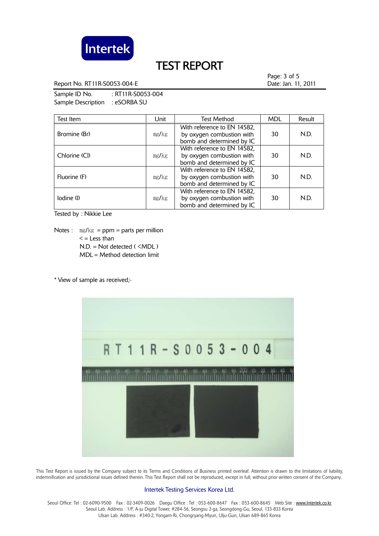

Report No. RT11R-S0053-004-E Date: Jan. 11, 2011

Page: 3 of 5

Sample ID No. : RT11R-S0053-004 Sample Description : eSORBA SU

| Test Item     | Unit  | <b>Test Method</b>                                                                    | <b>MDL</b> | Result |
|---------------|-------|---------------------------------------------------------------------------------------|------------|--------|
| Bromine (Br)  | mg/kg | With reference to EN 14582,<br>by oxygen combustion with<br>bomb and determined by IC | 30         | N.D.   |
| Chlorine (Cl) | mg/kg | With reference to EN 14582,<br>by oxygen combustion with<br>bomb and determined by IC | 30         | N.D.   |
| Fluorine (F)  | mg/kg | With reference to EN 14582,<br>by oxygen combustion with<br>bomb and determined by IC | 30         | N.D.   |
| lodine (l)    | mg/kg | With reference to EN 14582,<br>by oxygen combustion with<br>bomb and determined by IC | 30         | N.D.   |

Tested by : Nikkie Lee

Notes :  $mg/kg = ppm = parts per million$  $\leq$  = Less than N.D. = Not detected ( <MDL ) MDL = Method detection limit

\* View of sample as received;-



 This Test Report is issued by the Company subject to its Terms and Conditions of Business printed overleaf. Attention is drawn to the limitations of liability, indemnification and jurisdictional issues defined therein. This Test Report shall not be reproduced, except in full, without prior written consent of the Company.

#### Intertek Testing Services Korea Ltd.

Seoul Office: Tel: 02-6090-9500 Fax: 02-3409-0026 Daegu Office: Tel: 053-600-8647 Fax: 053-600-8645 Web Site: www.Intertek.co.kr Seoul Lab. Address : 1/F, A-ju Digital Tower, #284-56, Seongsu 2-ga, Seongdong-Gu, Seoul, 133-833 Korea Ulsan Lab. Address : #340-2, Yongam-Ri, Chongryang-Myun, Ulju-Gun, Ulsan 689-865 Korea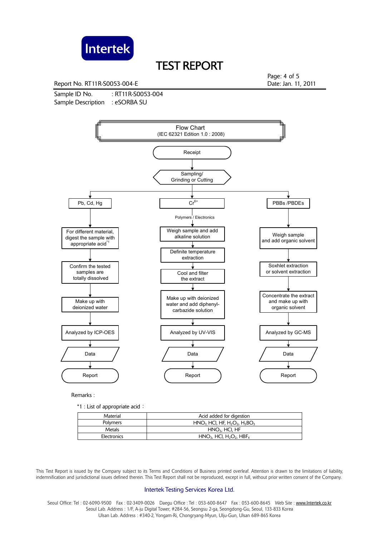

Report No. RT11R-S0053-004-E Date: Jan. 11, 2011

Sample ID No. : RT11R-S0053-004 Sample Description : eSORBA SU

Page: 4 of 5



Remarks :

\*1 : List of appropriate acid:

| Material    | Acid added for digestion                                       |
|-------------|----------------------------------------------------------------|
| Polymers    | $HNO3 HCl, HF, H2O2, H3BO3$                                    |
| Metals      | $HNO3$ , HCI, HF                                               |
| Electronics | $HNO3$ , HCl, H <sub>2</sub> O <sub>2</sub> , HBF <sub>4</sub> |

 This Test Report is issued by the Company subject to its Terms and Conditions of Business printed overleaf. Attention is drawn to the limitations of liability, indemnification and jurisdictional issues defined therein. This Test Report shall not be reproduced, except in full, without prior written consent of the Company.

#### Intertek Testing Services Korea Ltd.

Seoul Office: Tel : 02-6090-9500 Fax : 02-3409-0026 Daegu Office : Tel : 053-600-8647 Fax : 053-600-8645 Web Site : www.Intertek.co.kr Seoul Lab. Address : 1/F, A-ju Digital Tower, #284-56, Seongsu 2-ga, Seongdong-Gu, Seoul, 133-833 Korea Ulsan Lab. Address : #340-2, Yongam-Ri, Chongryang-Myun, Ulju-Gun, Ulsan 689-865 Korea